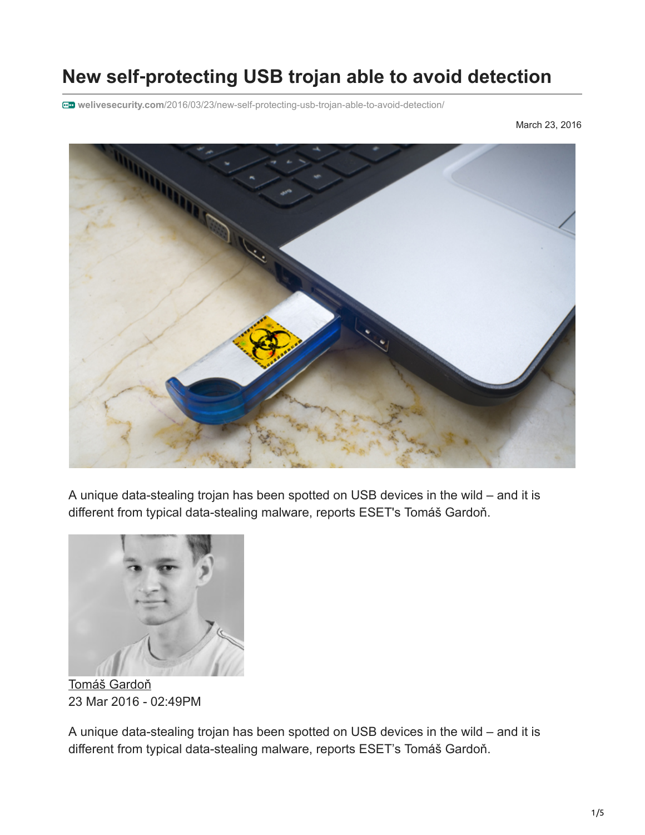# **New self**‑**protecting USB trojan able to avoid detection**

**welivesecurity.com**[/2016/03/23/new-self-protecting-usb-trojan-able-to-avoid-detection/](http://www.welivesecurity.com/2016/03/23/new-self-protecting-usb-trojan-able-to-avoid-detection/)

March 23, 2016



A unique data-stealing trojan has been spotted on USB devices in the wild – and it is different from typical data-stealing malware, reports ESET's Tomáš Gardoň.



[Tomáš Gardoň](https://www.welivesecurity.com/author/tgardon/) 23 Mar 2016 - 02:49PM

A unique data-stealing trojan has been spotted on USB devices in the wild – and it is different from typical data-stealing malware, reports ESET's Tomáš Gardoň.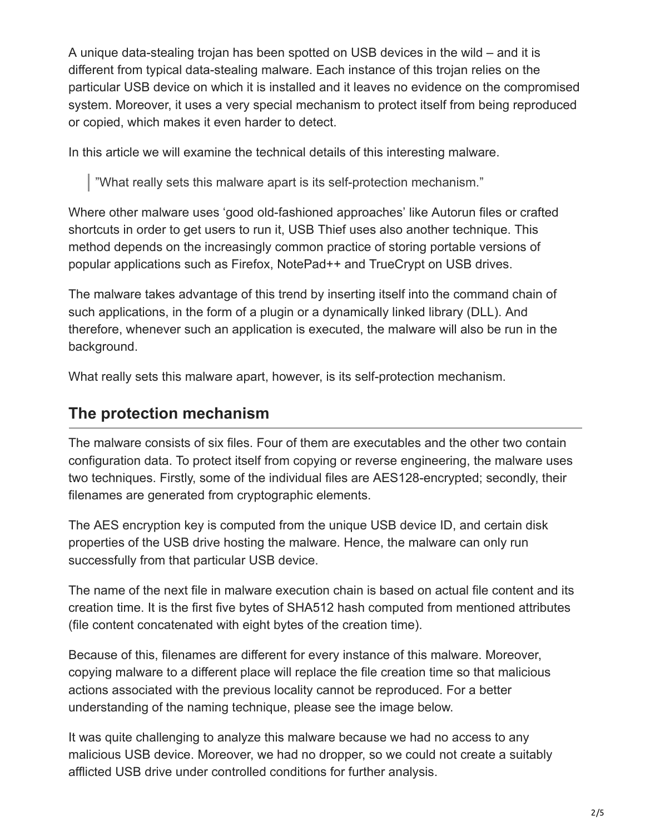A unique data-stealing trojan has been spotted on USB devices in the wild – and it is different from typical data-stealing malware. Each instance of this trojan relies on the particular USB device on which it is installed and it leaves no evidence on the compromised system. Moreover, it uses a very special mechanism to protect itself from being reproduced or copied, which makes it even harder to detect.

In this article we will examine the technical details of this interesting malware.

"What really sets this malware apart is its self-protection mechanism."

Where other malware uses 'good old-fashioned approaches' like Autorun files or crafted shortcuts in order to get users to run it, USB Thief uses also another technique. This method depends on the increasingly common practice of storing portable versions of popular applications such as Firefox, NotePad++ and TrueCrypt on USB drives.

The malware takes advantage of this trend by inserting itself into the command chain of such applications, in the form of a plugin or a dynamically linked library (DLL). And therefore, whenever such an application is executed, the malware will also be run in the background.

What really sets this malware apart, however, is its self-protection mechanism.

#### **The protection mechanism**

The malware consists of six files. Four of them are executables and the other two contain configuration data. To protect itself from copying or reverse engineering, the malware uses two techniques. Firstly, some of the individual files are AES128-encrypted; secondly, their filenames are generated from cryptographic elements.

The AES encryption key is computed from the unique USB device ID, and certain disk properties of the USB drive hosting the malware. Hence, the malware can only run successfully from that particular USB device.

The name of the next file in malware execution chain is based on actual file content and its creation time. It is the first five bytes of SHA512 hash computed from mentioned attributes (file content concatenated with eight bytes of the creation time).

Because of this, filenames are different for every instance of this malware. Moreover, copying malware to a different place will replace the file creation time so that malicious actions associated with the previous locality cannot be reproduced. For a better understanding of the naming technique, please see the image below.

It was quite challenging to analyze this malware because we had no access to any malicious USB device. Moreover, we had no dropper, so we could not create a suitably afflicted USB drive under controlled conditions for further analysis.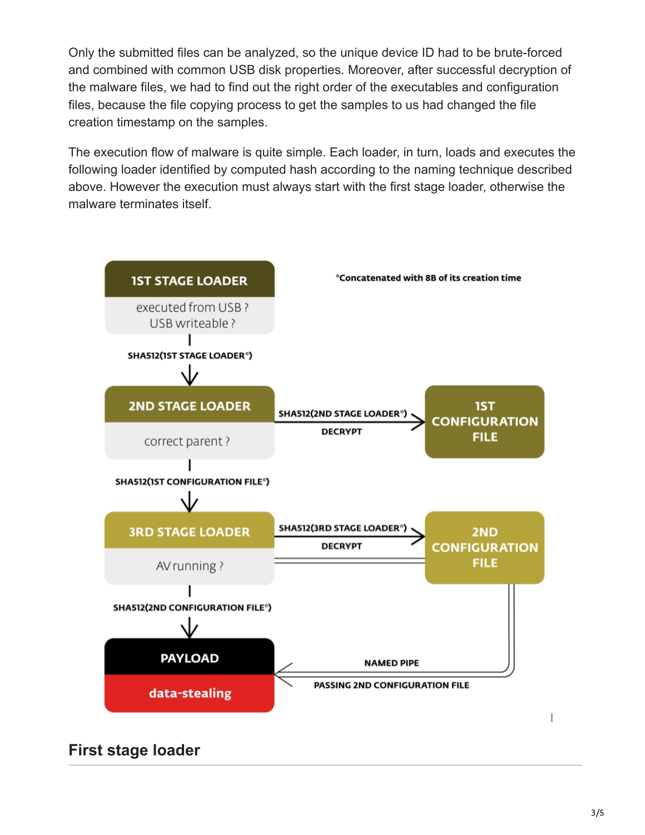Only the submitted files can be analyzed, so the unique device ID had to be brute-forced and combined with common USB disk properties. Moreover, after successful decryption of the malware files, we had to find out the right order of the executables and configuration files, because the file copying process to get the samples to us had changed the file creation timestamp on the samples.

The execution flow of malware is quite simple. Each loader, in turn, loads and executes the following loader identified by computed hash according to the naming technique described above. However the execution must always start with the first stage loader, otherwise the malware terminates itself.



**First stage loader**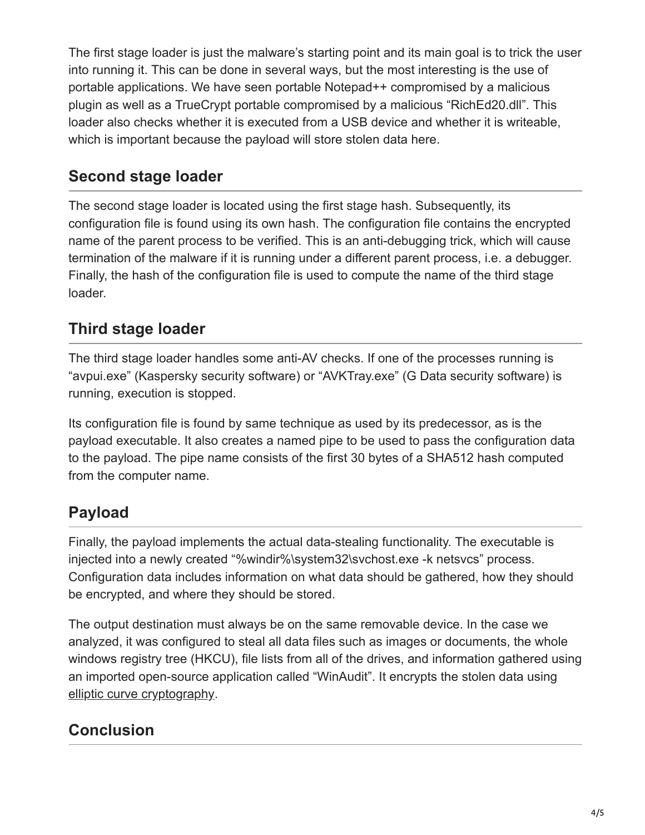The first stage loader is just the malware's starting point and its main goal is to trick the user into running it. This can be done in several ways, but the most interesting is the use of portable applications. We have seen portable Notepad++ compromised by a malicious plugin as well as a TrueCrypt portable compromised by a malicious "RichEd20.dll". This loader also checks whether it is executed from a USB device and whether it is writeable, which is important because the payload will store stolen data here.

#### **Second stage loader**

The second stage loader is located using the first stage hash. Subsequently, its configuration file is found using its own hash. The configuration file contains the encrypted name of the parent process to be verified. This is an anti-debugging trick, which will cause termination of the malware if it is running under a different parent process, i.e. a debugger. Finally, the hash of the configuration file is used to compute the name of the third stage loader.

#### **Third stage loader**

The third stage loader handles some anti-AV checks. If one of the processes running is "avpui.exe" (Kaspersky security software) or "AVKTray.exe" (G Data security software) is running, execution is stopped.

Its configuration file is found by same technique as used by its predecessor, as is the payload executable. It also creates a named pipe to be used to pass the configuration data to the payload. The pipe name consists of the first 30 bytes of a SHA512 hash computed from the computer name.

### **Payload**

Finally, the payload implements the actual data-stealing functionality. The executable is injected into a newly created "%windir%\system32\svchost.exe -k netsvcs" process. Configuration data includes information on what data should be gathered, how they should be encrypted, and where they should be stored.

The output destination must always be on the same removable device. In the case we analyzed, it was configured to steal all data files such as images or documents, the whole windows registry tree (HKCU), file lists from all of the drives, and information gathered using an imported open-source application called "WinAudit". It encrypts the stolen data using [elliptic curve cryptography.](https://en.wikipedia.org/wiki/Elliptic_curve_cryptography)

## **Conclusion**